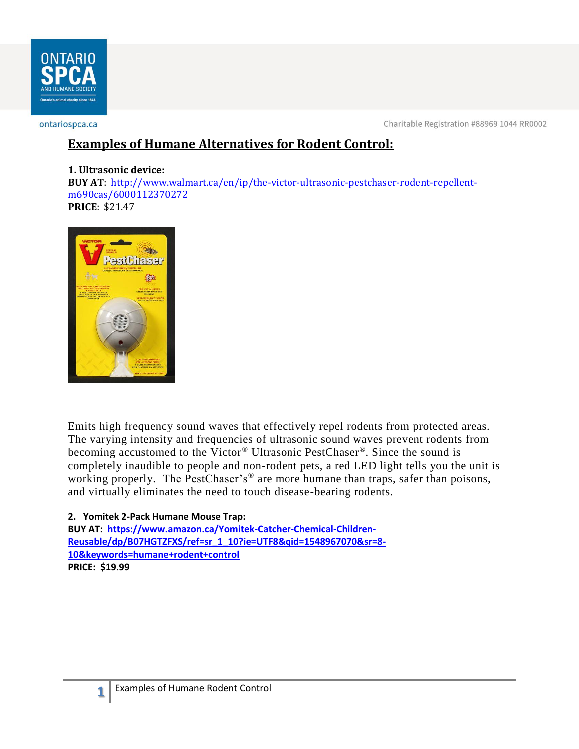

ontariospca.ca

Charitable Registration #88969 1044 RR0002

## **Examples of Humane Alternatives for Rodent Control:**

## **1. Ultrasonic device:**

**BUY AT**: [http://www.walmart.ca/en/ip/the-victor-ultrasonic-pestchaser-rodent-repellent](http://www.walmart.ca/en/ip/the-victor-ultrasonic-pestchaser-rodent-repellent-m690cas/6000112370272)[m690cas/6000112370272](http://www.walmart.ca/en/ip/the-victor-ultrasonic-pestchaser-rodent-repellent-m690cas/6000112370272) **PRICE**: \$21.47



Emits high frequency sound waves that effectively repel rodents from protected areas. The varying intensity and frequencies of ultrasonic sound waves prevent rodents from becoming accustomed to the Victor® Ultrasonic PestChaser®. Since the sound is completely inaudible to people and non-rodent pets, a red LED light tells you the unit is working properly. The PestChaser's<sup>®</sup> are more humane than traps, safer than poisons, and virtually eliminates the need to touch disease-bearing rodents.

## **2. Yomitek 2-Pack Humane Mouse Trap:**

**BUY AT: [https://www.amazon.ca/Yomitek-Catcher-Chemical-Children-](https://www.amazon.ca/Yomitek-Catcher-Chemical-Children-Reusable/dp/B07HGTZFXS/ref=sr_1_10?ie=UTF8&qid=1548967070&sr=8-10&keywords=humane+rodent+control)[Reusable/dp/B07HGTZFXS/ref=sr\\_1\\_10?ie=UTF8&qid=1548967070&sr=8-](https://www.amazon.ca/Yomitek-Catcher-Chemical-Children-Reusable/dp/B07HGTZFXS/ref=sr_1_10?ie=UTF8&qid=1548967070&sr=8-10&keywords=humane+rodent+control) [10&keywords=humane+rodent+control](https://www.amazon.ca/Yomitek-Catcher-Chemical-Children-Reusable/dp/B07HGTZFXS/ref=sr_1_10?ie=UTF8&qid=1548967070&sr=8-10&keywords=humane+rodent+control) PRICE: \$19.99**